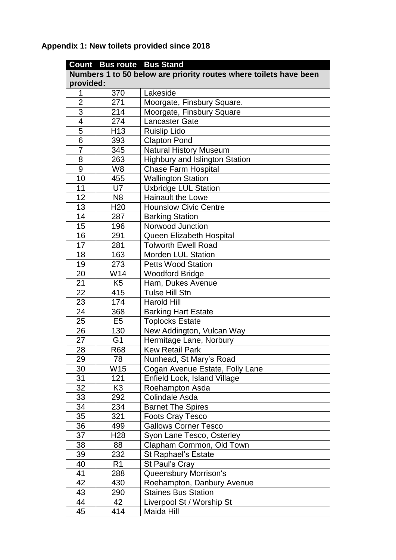**Appendix 1: New toilets provided since 2018**

|                                                                   | <b>Count Bus route Bus Stand</b> |                                       |  |  |
|-------------------------------------------------------------------|----------------------------------|---------------------------------------|--|--|
| Numbers 1 to 50 below are priority routes where toilets have been |                                  |                                       |  |  |
| provided:                                                         |                                  |                                       |  |  |
| 1                                                                 | 370                              | Lakeside                              |  |  |
| $\overline{2}$                                                    | 271                              | Moorgate, Finsbury Square.            |  |  |
| 3                                                                 | 214                              | Moorgate, Finsbury Square             |  |  |
| $\overline{4}$                                                    | 274                              | <b>Lancaster Gate</b>                 |  |  |
| 5                                                                 | H <sub>13</sub>                  | <b>Ruislip Lido</b>                   |  |  |
| 6                                                                 | 393                              | <b>Clapton Pond</b>                   |  |  |
| $\overline{7}$                                                    | 345                              | <b>Natural History Museum</b>         |  |  |
| 8                                                                 | 263                              | <b>Highbury and Islington Station</b> |  |  |
| 9                                                                 | W <sub>8</sub>                   | <b>Chase Farm Hospital</b>            |  |  |
| 10                                                                | 455                              | <b>Wallington Station</b>             |  |  |
| 11                                                                | U <sub>7</sub>                   | <b>Uxbridge LUL Station</b>           |  |  |
| 12                                                                | N <sub>8</sub>                   | <b>Hainault the Lowe</b>              |  |  |
| 13                                                                | H <sub>20</sub>                  | <b>Hounslow Civic Centre</b>          |  |  |
| 14                                                                | 287                              | <b>Barking Station</b>                |  |  |
| 15                                                                | 196                              | Norwood Junction                      |  |  |
| 16                                                                | 291                              | Queen Elizabeth Hospital              |  |  |
| 17                                                                | 281                              | <b>Tolworth Ewell Road</b>            |  |  |
| 18                                                                | 163                              | <b>Morden LUL Station</b>             |  |  |
| 19                                                                | 273                              | <b>Petts Wood Station</b>             |  |  |
| 20                                                                | W14                              | <b>Woodford Bridge</b>                |  |  |
| 21                                                                | K <sub>5</sub>                   | Ham, Dukes Avenue                     |  |  |
| 22                                                                | 415                              | Tulse Hill Stn                        |  |  |
| 23                                                                | 174                              | <b>Harold Hill</b>                    |  |  |
| 24                                                                | 368                              | <b>Barking Hart Estate</b>            |  |  |
| 25                                                                | E <sub>5</sub>                   | <b>Toplocks Estate</b>                |  |  |
| 26                                                                | 130                              | New Addington, Vulcan Way             |  |  |
| 27                                                                | G <sub>1</sub>                   | Hermitage Lane, Norbury               |  |  |
| 28                                                                | <b>R68</b>                       | <b>Kew Retail Park</b>                |  |  |
| 29                                                                | 78                               | Nunhead, St Mary's Road               |  |  |
| 30                                                                | W15                              | Cogan Avenue Estate, Folly Lane       |  |  |
| 31                                                                | 121                              | Enfield Lock, Island Village          |  |  |
| 32                                                                | K <sub>3</sub>                   | Roehampton Asda                       |  |  |
| 33                                                                | 292                              | Colindale Asda                        |  |  |
| 34                                                                | 234                              | <b>Barnet The Spires</b>              |  |  |
| 35                                                                | 321                              | <b>Foots Cray Tesco</b>               |  |  |
| 36                                                                | 499                              | <b>Gallows Corner Tesco</b>           |  |  |
| 37                                                                | H28                              | Syon Lane Tesco, Osterley             |  |  |
| 38                                                                | 88                               | Clapham Common, Old Town              |  |  |
| 39                                                                | 232                              | <b>St Raphael's Estate</b>            |  |  |
| 40                                                                | R1                               | St Paul's Cray                        |  |  |
| 41                                                                | 288                              | Queensbury Morrison's                 |  |  |
| 42                                                                | 430                              | Roehampton, Danbury Avenue            |  |  |
| 43                                                                | 290                              | <b>Staines Bus Station</b>            |  |  |
| 44                                                                | 42                               | Liverpool St / Worship St             |  |  |
| 45                                                                | 414                              | Maida Hill                            |  |  |
|                                                                   |                                  |                                       |  |  |